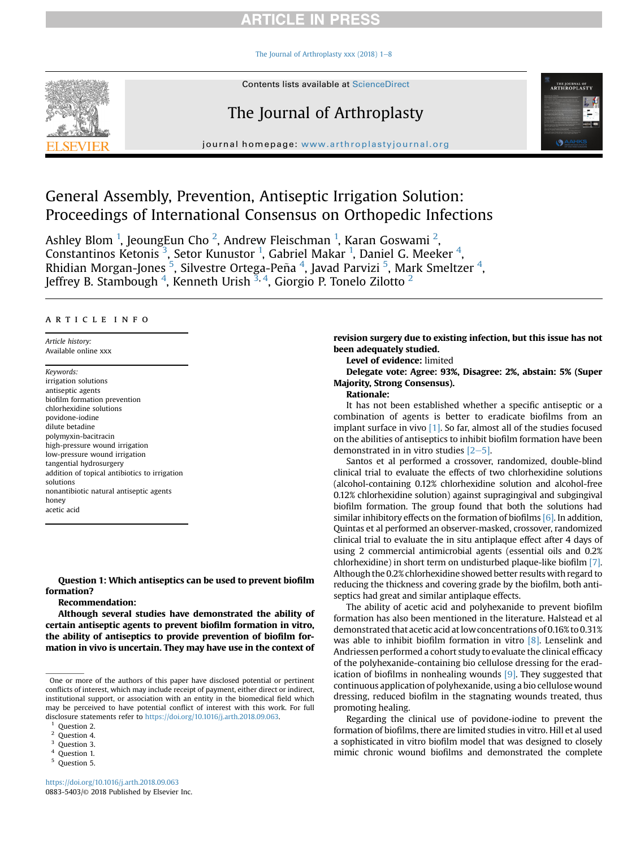The Journal of Arthroplasty xxx (201[8](https://doi.org/10.1016/j.arth.2018.09.063))  $1-8$ 



Contents lists available at [ScienceDirect](www.sciencedirect.com/science/journal/08835403)

# The Journal of Arthroplasty

journal homepage: [www.arthroplastyjournal.org](http://www.arthroplastyjournal.org)



Ashley Blom  $^1$ , JeoungEun Cho  $^2$ , Andrew Fleischman  $^1$ , Karan Goswami  $^2$ , Constantinos Ketonis<sup>3</sup>, Setor Kunustor<sup>1</sup>, Gabriel Makar<sup>1</sup>, Daniel G. Meeker<sup>4</sup>, Rhidian Morgan-Jones <sup>5</sup>, Silvestre Ortega-Peña <sup>4</sup>, Javad Parvizi <sup>5</sup>, Mark Smeltzer <sup>4</sup>, Jeffrey B. Stambough  $^4$ , Kenneth Urish  $^{\overline{3},\,4}$ , Giorgio P. Tonelo Zilotto  $^2$ 

## article info

Article history: Available online xxx

Keywords: irrigation solutions antiseptic agents biofilm formation prevention chlorhexidine solutions povidone-iodine dilute betadine polymyxin-bacitracin high-pressure wound irrigation low-pressure wound irrigation tangential hydrosurgery addition of topical antibiotics to irrigation solutions nonantibiotic natural antiseptic agents honey acetic acid

Question 1: Which antiseptics can be used to prevent biofilm formation?

Recommendation:

Although several studies have demonstrated the ability of certain antiseptic agents to prevent biofilm formation in vitro, the ability of antiseptics to provide prevention of biofilm formation in vivo is uncertain. They may have use in the context of

revision surgery due to existing infection, but this issue has not been adequately studied.

**THE JOURNAL OF<br>ARTHROPLASTY** 

G

Level of evidence: limited

Delegate vote: Agree: 93%, Disagree: 2%, abstain: 5% (Super Majority, Strong Consensus).

### Rationale:

It has not been established whether a specific antiseptic or a combination of agents is better to eradicate biofilms from an implant surface in vivo [\[1\]](#page-4-0). So far, almost all of the studies focused on the abilities of antiseptics to inhibit biofilm formation have been demonstrated in in vitro studies  $[2-5]$  $[2-5]$ .

Santos et al performed a crossover, randomized, double-blind clinical trial to evaluate the effects of two chlorhexidine solutions (alcohol-containing 0.12% chlorhexidine solution and alcohol-free 0.12% chlorhexidine solution) against supragingival and subgingival biofilm formation. The group found that both the solutions had similar inhibitory effects on the formation of biofilms [\[6\]](#page-5-0). In addition, Quintas et al performed an observer-masked, crossover, randomized clinical trial to evaluate the in situ antiplaque effect after 4 days of using 2 commercial antimicrobial agents (essential oils and 0.2% chlorhexidine) in short term on undisturbed plaque-like biofilm [\[7\].](#page-5-0) Although the 0.2% chlorhexidine showed better results with regard to reducing the thickness and covering grade by the biofilm, both antiseptics had great and similar antiplaque effects.

The ability of acetic acid and polyhexanide to prevent biofilm formation has also been mentioned in the literature. Halstead et al demonstrated that acetic acid at low concentrations of 0.16% to 0.31% was able to inhibit biofilm formation in vitro [\[8\].](#page-5-0) Lenselink and Andriessen performed a cohort study to evaluate the clinical efficacy of the polyhexanide-containing bio cellulose dressing for the eradication of biofilms in nonhealing wounds [\[9\].](#page-5-0) They suggested that continuous application of polyhexanide, using a bio cellulose wound dressing, reduced biofilm in the stagnating wounds treated, thus promoting healing.

Regarding the clinical use of povidone-iodine to prevent the formation of biofilms, there are limited studies in vitro. Hill et al used a sophisticated in vitro biofilm model that was designed to closely mimic chronic wound biofilms and demonstrated the complete

One or more of the authors of this paper have disclosed potential or pertinent conflicts of interest, which may include receipt of payment, either direct or indirect, institutional support, or association with an entity in the biomedical field which may be perceived to have potential conflict of interest with this work. For full disclosure statements refer to <https://doi.org/10.1016/j.arth.2018.09.063>.

Question 2.

Question 4.

Question 3.

Question 1.

<sup>5</sup> Question 5.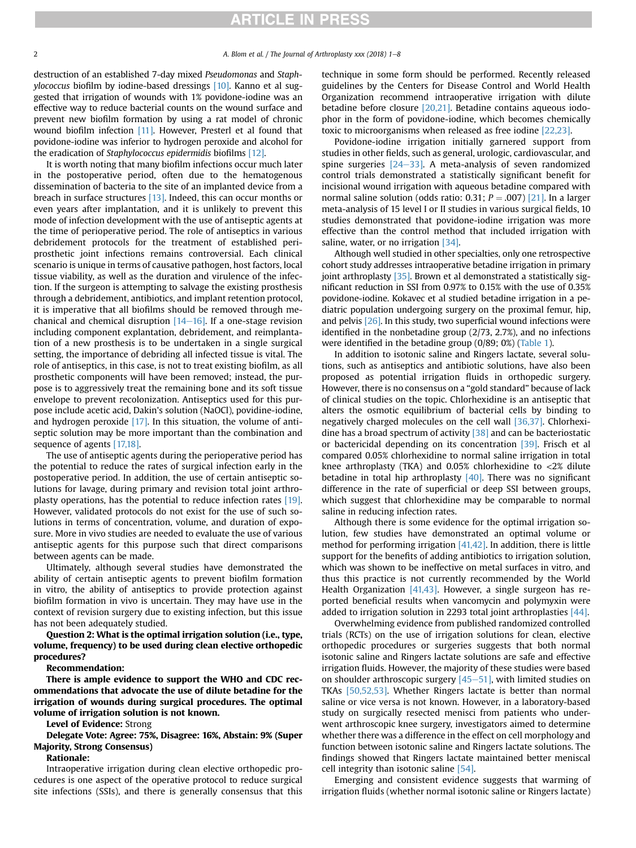destruction of an established 7-day mixed Pseudomonas and Staphylococcus biofilm by iodine-based dressings [\[10\].](#page-5-0) Kanno et al suggested that irrigation of wounds with 1% povidone-iodine was an effective way to reduce bacterial counts on the wound surface and prevent new biofilm formation by using a rat model of chronic wound biofilm infection [\[11\].](#page-5-0) However, Presterl et al found that povidone-iodine was inferior to hydrogen peroxide and alcohol for the eradication of Staphylococcus epidermidis biofilms [\[12\].](#page-5-0)

It is worth noting that many biofilm infections occur much later in the postoperative period, often due to the hematogenous dissemination of bacteria to the site of an implanted device from a breach in surface structures [\[13\].](#page-5-0) Indeed, this can occur months or even years after implantation, and it is unlikely to prevent this mode of infection development with the use of antiseptic agents at the time of perioperative period. The role of antiseptics in various debridement protocols for the treatment of established periprosthetic joint infections remains controversial. Each clinical scenario is unique in terms of causative pathogen, host factors, local tissue viability, as well as the duration and virulence of the infection. If the surgeon is attempting to salvage the existing prosthesis through a debridement, antibiotics, and implant retention protocol, it is imperative that all biofilms should be removed through mechanical and chemical disruption  $[14-16]$  $[14-16]$ . If a one-stage revision including component explantation, debridement, and reimplantation of a new prosthesis is to be undertaken in a single surgical setting, the importance of debriding all infected tissue is vital. The role of antiseptics, in this case, is not to treat existing biofilm, as all prosthetic components will have been removed; instead, the purpose is to aggressively treat the remaining bone and its soft tissue envelope to prevent recolonization. Antiseptics used for this purpose include acetic acid, Dakin's solution (NaOCl), povidine-iodine, and hydrogen peroxide  $[17]$ . In this situation, the volume of antiseptic solution may be more important than the combination and sequence of agents [\[17,18\].](#page-5-0)

The use of antiseptic agents during the perioperative period has the potential to reduce the rates of surgical infection early in the postoperative period. In addition, the use of certain antiseptic solutions for lavage, during primary and revision total joint arthroplasty operations, has the potential to reduce infection rates [\[19\].](#page-5-0) However, validated protocols do not exist for the use of such solutions in terms of concentration, volume, and duration of exposure. More in vivo studies are needed to evaluate the use of various antiseptic agents for this purpose such that direct comparisons between agents can be made.

Ultimately, although several studies have demonstrated the ability of certain antiseptic agents to prevent biofilm formation in vitro, the ability of antiseptics to provide protection against biofilm formation in vivo is uncertain. They may have use in the context of revision surgery due to existing infection, but this issue has not been adequately studied.

Question 2: What is the optimal irrigation solution (i.e., type, volume, frequency) to be used during clean elective orthopedic procedures?

#### Recommendation:

There is ample evidence to support the WHO and CDC recommendations that advocate the use of dilute betadine for the irrigation of wounds during surgical procedures. The optimal volume of irrigation solution is not known.

Level of Evidence: Strong

Delegate Vote: Agree: 75%, Disagree: 16%, Abstain: 9% (Super Majority, Strong Consensus)

#### Rationale:

Intraoperative irrigation during clean elective orthopedic procedures is one aspect of the operative protocol to reduce surgical site infections (SSIs), and there is generally consensus that this technique in some form should be performed. Recently released guidelines by the Centers for Disease Control and World Health Organization recommend intraoperative irrigation with dilute betadine before closure [\[20,21\]](#page-5-0). Betadine contains aqueous iodophor in the form of povidone-iodine, which becomes chemically toxic to microorganisms when released as free iodine [\[22,23\].](#page-5-0)

Povidone-iodine irrigation initially garnered support from studies in other fields, such as general, urologic, cardiovascular, and spine surgeries  $[24-33]$  $[24-33]$ . A meta-analysis of seven randomized control trials demonstrated a statistically significant benefit for incisional wound irrigation with aqueous betadine compared with normal saline solution (odds ratio: 0.31;  $P = .007$ ) [\[21\]](#page-5-0). In a larger meta-analysis of 15 level I or II studies in various surgical fields, 10 studies demonstrated that povidone-iodine irrigation was more effective than the control method that included irrigation with saline, water, or no irrigation [\[34\]](#page-5-0).

Although well studied in other specialties, only one retrospective cohort study addresses intraoperative betadine irrigation in primary joint arthroplasty [\[35\].](#page-5-0) Brown et al demonstrated a statistically significant reduction in SSI from 0.97% to 0.15% with the use of 0.35% povidone-iodine. Kokavec et al studied betadine irrigation in a pediatric population undergoing surgery on the proximal femur, hip, and pelvis [\[26\]](#page-5-0). In this study, two superficial wound infections were identified in the nonbetadine group (2/73, 2.7%), and no infections were identified in the betadine group (0/89; 0%) [\(Table 1\)](#page-2-0).

In addition to isotonic saline and Ringers lactate, several solutions, such as antiseptics and antibiotic solutions, have also been proposed as potential irrigation fluids in orthopedic surgery. However, there is no consensus on a "gold standard" because of lack of clinical studies on the topic. Chlorhexidine is an antiseptic that alters the osmotic equilibrium of bacterial cells by binding to negatively charged molecules on the cell wall [\[36,37\].](#page-5-0) Chlorhexidine has a broad spectrum of activity  $\left[38\right]$  and can be bacteriostatic or bactericidal depending on its concentration [\[39\].](#page-5-0) Frisch et al compared 0.05% chlorhexidine to normal saline irrigation in total knee arthroplasty (TKA) and  $0.05\%$  chlorhexidine to  $\langle 2\%$  dilute betadine in total hip arthroplasty  $[40]$ . There was no significant difference in the rate of superficial or deep SSI between groups, which suggest that chlorhexidine may be comparable to normal saline in reducing infection rates.

Although there is some evidence for the optimal irrigation solution, few studies have demonstrated an optimal volume or method for performing irrigation  $[41,42]$ . In addition, there is little support for the benefits of adding antibiotics to irrigation solution, which was shown to be ineffective on metal surfaces in vitro, and thus this practice is not currently recommended by the World Health Organization [\[41,43\]](#page-5-0). However, a single surgeon has reported beneficial results when vancomycin and polymyxin were added to irrigation solution in 2293 total joint arthroplasties [\[44\].](#page-5-0)

Overwhelming evidence from published randomized controlled trials (RCTs) on the use of irrigation solutions for clean, elective orthopedic procedures or surgeries suggests that both normal isotonic saline and Ringers lactate solutions are safe and effective irrigation fluids. However, the majority of these studies were based on shoulder arthroscopic surgery  $[45-51]$  $[45-51]$ , with limited studies on TKAs [\[50,52,53\].](#page-5-0) Whether Ringers lactate is better than normal saline or vice versa is not known. However, in a laboratory-based study on surgically resected menisci from patients who underwent arthroscopic knee surgery, investigators aimed to determine whether there was a difference in the effect on cell morphology and function between isotonic saline and Ringers lactate solutions. The findings showed that Ringers lactate maintained better meniscal cell integrity than isotonic saline [\[54\]](#page-6-0).

Emerging and consistent evidence suggests that warming of irrigation fluids (whether normal isotonic saline or Ringers lactate)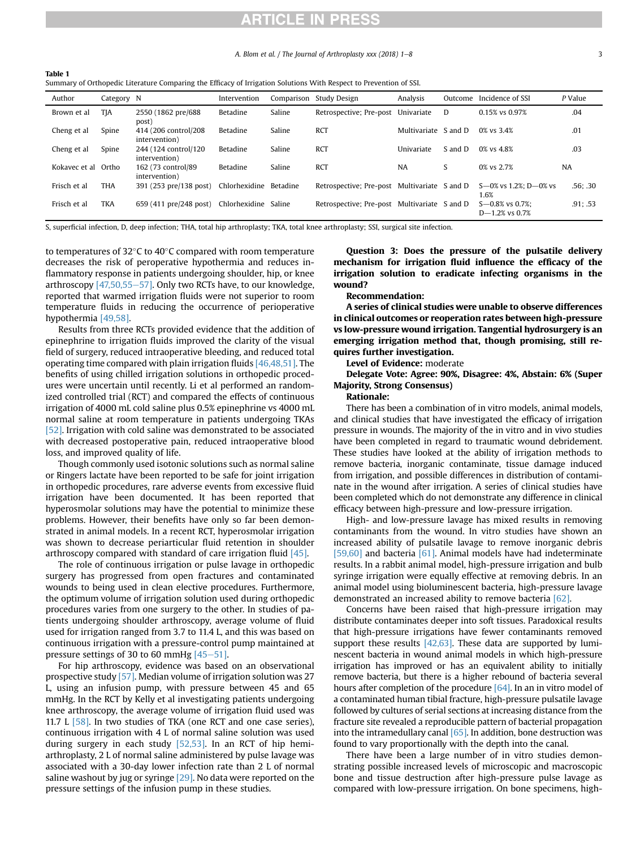A. Blom et al.  $/$  The Journal of Arthroplasty xxx (2018)  $1-8$  3

|  |  |  |  | Summary of Orthopedic Literature Comparing the Efficacy of Irrigation Solutions With Respect to Prevention of SSI |
|--|--|--|--|-------------------------------------------------------------------------------------------------------------------|
|  |  |  |  |                                                                                                                   |
|  |  |  |  |                                                                                                                   |

| Author        | Category N |                                        | Intervention  |          | Comparison Study Design                      | Analysis             | Outcome | Incidence of SSI                           | P Value   |
|---------------|------------|----------------------------------------|---------------|----------|----------------------------------------------|----------------------|---------|--------------------------------------------|-----------|
| Brown et al   | TJA        | 2550 (1862 pre/688)<br>post)           | Betadine      | Saline   | Retrospective; Pre-post Univariate           |                      | D       | 0.15% vs 0.97%                             | .04       |
| Cheng et al   | Spine      | 414 (206 control/208)<br>intervention) | Betadine      | Saline   | <b>RCT</b>                                   | Multivariate S and D |         | $0\%$ vs 3.4%                              | .01       |
| Cheng et al   | Spine      | 244 (124 control/120)<br>intervention) | Betadine      | Saline   | <b>RCT</b>                                   | Univariate           | S and D | $0\%$ vs 4.8%                              | .03       |
| Kokavec et al | Ortho      | 162 (73 control/89)<br>intervention)   | Betadine      | Saline   | <b>RCT</b>                                   | <b>NA</b>            | S       | $0\%$ vs $2.7\%$                           | <b>NA</b> |
| Frisch et al  | THA        | 391 (253 pre/138 post)                 | Chlorhexidine | Betadine | Retrospective; Pre-post Multivariate S and D |                      |         | $S - 0\%$ vs 1.2%: D $-0\%$ vs<br>1.6%     | .56: .30  |
| Frisch et al  | <b>TKA</b> | 659 (411 pre/248 post)                 | Chlorhexidine | Saline   | Retrospective; Pre-post Multivariate S and D |                      |         | $S - 0.8\%$ vs 0.7%:<br>$D - 1.2%$ vs 0.7% | .91: .53  |

S, superficial infection, D, deep infection; THA, total hip arthroplasty; TKA, total knee arthroplasty; SSI, surgical site infection.

to temperatures of 32°C to 40°C compared with room temperature decreases the risk of peroperative hypothermia and reduces inflammatory response in patients undergoing shoulder, hip, or knee arthroscopy  $[47,50,55-57]$  $[47,50,55-57]$  $[47,50,55-57]$ . Only two RCTs have, to our knowledge, reported that warmed irrigation fluids were not superior to room temperature fluids in reducing the occurrence of perioperative hypothermia [\[49,58\]](#page-5-0).

<span id="page-2-0"></span>Table 1

Results from three RCTs provided evidence that the addition of epinephrine to irrigation fluids improved the clarity of the visual field of surgery, reduced intraoperative bleeding, and reduced total operating time compared with plain irrigation fluids [\[46,48,51\]](#page-5-0). The benefits of using chilled irrigation solutions in orthopedic procedures were uncertain until recently. Li et al performed an randomized controlled trial (RCT) and compared the effects of continuous irrigation of 4000 mL cold saline plus 0.5% epinephrine vs 4000 mL normal saline at room temperature in patients undergoing TKAs [\[52\].](#page-5-0) Irrigation with cold saline was demonstrated to be associated with decreased postoperative pain, reduced intraoperative blood loss, and improved quality of life.

Though commonly used isotonic solutions such as normal saline or Ringers lactate have been reported to be safe for joint irrigation in orthopedic procedures, rare adverse events from excessive fluid irrigation have been documented. It has been reported that hyperosmolar solutions may have the potential to minimize these problems. However, their benefits have only so far been demonstrated in animal models. In a recent RCT, hyperosmolar irrigation was shown to decrease periarticular fluid retention in shoulder arthroscopy compared with standard of care irrigation fluid [\[45\].](#page-5-0)

The role of continuous irrigation or pulse lavage in orthopedic surgery has progressed from open fractures and contaminated wounds to being used in clean elective procedures. Furthermore, the optimum volume of irrigation solution used during orthopedic procedures varies from one surgery to the other. In studies of patients undergoing shoulder arthroscopy, average volume of fluid used for irrigation ranged from 3.7 to 11.4 L, and this was based on continuous irrigation with a pressure-control pump maintained at pressure settings of 30 to 60 mmHg  $[45-51]$  $[45-51]$ .

For hip arthroscopy, evidence was based on an observational prospective study [\[57\].](#page-6-0) Median volume of irrigation solution was 27 L, using an infusion pump, with pressure between 45 and 65 mmHg. In the RCT by Kelly et al investigating patients undergoing knee arthroscopy, the average volume of irrigation fluid used was 11.7 L  $[58]$ . In two studies of TKA (one RCT and one case series), continuous irrigation with 4 L of normal saline solution was used during surgery in each study [\[52,53\]](#page-5-0). In an RCT of hip hemiarthroplasty, 2 L of normal saline administered by pulse lavage was associated with a 30-day lower infection rate than 2 L of normal saline washout by jug or syringe [\[29\]](#page-5-0). No data were reported on the pressure settings of the infusion pump in these studies.

Question 3: Does the pressure of the pulsatile delivery mechanism for irrigation fluid influence the efficacy of the irrigation solution to eradicate infecting organisms in the wound?

#### Recommendation:

A series of clinical studies were unable to observe differences in clinical outcomes or reoperation rates between high-pressure vs low-pressure wound irrigation. Tangential hydrosurgery is an emerging irrigation method that, though promising, still requires further investigation.

Level of Evidence: moderate

Delegate Vote: Agree: 90%, Disagree: 4%, Abstain: 6% (Super Majority, Strong Consensus)

### Rationale:

There has been a combination of in vitro models, animal models, and clinical studies that have investigated the efficacy of irrigation pressure in wounds. The majority of the in vitro and in vivo studies have been completed in regard to traumatic wound debridement. These studies have looked at the ability of irrigation methods to remove bacteria, inorganic contaminate, tissue damage induced from irrigation, and possible differences in distribution of contaminate in the wound after irrigation. A series of clinical studies have been completed which do not demonstrate any difference in clinical efficacy between high-pressure and low-pressure irrigation.

High- and low-pressure lavage has mixed results in removing contaminants from the wound. In vitro studies have shown an increased ability of pulsatile lavage to remove inorganic debris [\[59,60\]](#page-6-0) and bacteria [\[61\]](#page-6-0). Animal models have had indeterminate results. In a rabbit animal model, high-pressure irrigation and bulb syringe irrigation were equally effective at removing debris. In an animal model using bioluminescent bacteria, high-pressure lavage demonstrated an increased ability to remove bacteria [\[62\]](#page-6-0).

Concerns have been raised that high-pressure irrigation may distribute contaminates deeper into soft tissues. Paradoxical results that high-pressure irrigations have fewer contaminants removed support these results [\[42,63\]](#page-5-0). These data are supported by luminescent bacteria in wound animal models in which high-pressure irrigation has improved or has an equivalent ability to initially remove bacteria, but there is a higher rebound of bacteria several hours after completion of the procedure [\[64\].](#page-6-0) In an in vitro model of a contaminated human tibial fracture, high-pressure pulsatile lavage followed by cultures of serial sections at increasing distance from the fracture site revealed a reproducible pattern of bacterial propagation into the intramedullary canal  $[65]$ . In addition, bone destruction was found to vary proportionally with the depth into the canal.

There have been a large number of in vitro studies demonstrating possible increased levels of microscopic and macroscopic bone and tissue destruction after high-pressure pulse lavage as compared with low-pressure irrigation. On bone specimens, high-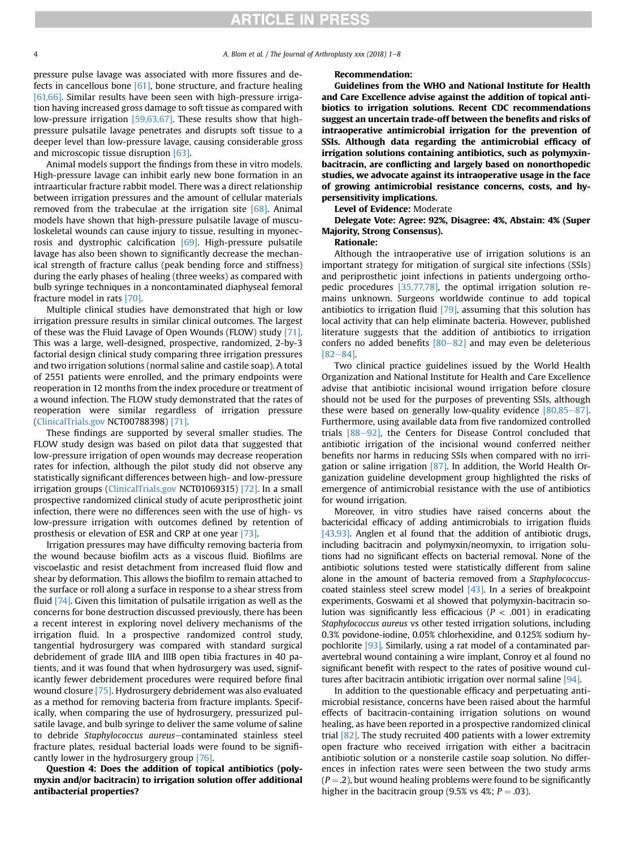pressure pulse lavage was associated with more fissures and defects in cancellous bone  $[61]$ , bone structure, and fracture healing [\[61,66\]](#page-6-0). Similar results have been seen with high-pressure irrigation having increased gross damage to soft tissue as compared with low-pressure irrigation [\[59,63,67\]](#page-6-0). These results show that highpressure pulsatile lavage penetrates and disrupts soft tissue to a deeper level than low-pressure lavage, causing considerable gross and microscopic tissue disruption [\[63\]](#page-6-0).

Animal models support the findings from these in vitro models. High-pressure lavage can inhibit early new bone formation in an intraarticular fracture rabbit model. There was a direct relationship between irrigation pressures and the amount of cellular materials removed from the trabeculae at the irrigation site [\[68\].](#page-6-0) Animal models have shown that high-pressure pulsatile lavage of musculoskeletal wounds can cause injury to tissue, resulting in myonecrosis and dystrophic calcification [\[69\]](#page-6-0). High-pressure pulsatile lavage has also been shown to significantly decrease the mechanical strength of fracture callus (peak bending force and stiffness) during the early phases of healing (three weeks) as compared with bulb syringe techniques in a noncontaminated diaphyseal femoral fracture model in rats [\[70\].](#page-6-0)

Multiple clinical studies have demonstrated that high or low irrigation pressure results in similar clinical outcomes. The largest of these was the Fluid Lavage of Open Wounds (FLOW) study [\[71\].](#page-6-0) This was a large, well-designed, prospective, randomized, 2-by-3 factorial design clinical study comparing three irrigation pressures and two irrigation solutions (normal saline and castile soap). A total of 2551 patients were enrolled, and the primary endpoints were reoperation in 12 months from the index procedure or treatment of a wound infection. The FLOW study demonstrated that the rates of reoperation were similar regardless of irrigation pressure [\(ClinicalTrials.gov](http://ClinicalTrials.gov) NCT00788398) [\[71\].](#page-6-0)

These findings are supported by several smaller studies. The FLOW study design was based on pilot data that suggested that low-pressure irrigation of open wounds may decrease reoperation rates for infection, although the pilot study did not observe any statistically significant differences between high- and low-pressure irrigation groups [\(ClinicalTrials.gov](http://ClinicalTrials.gov) NCT01069315) [\[72\]](#page-6-0). In a small prospective randomized clinical study of acute periprosthetic joint infection, there were no differences seen with the use of high- vs low-pressure irrigation with outcomes defined by retention of prosthesis or elevation of ESR and CRP at one year [\[73\].](#page-6-0)

Irrigation pressures may have difficulty removing bacteria from the wound because biofilm acts as a viscous fluid. Biofilms are viscoelastic and resist detachment from increased fluid flow and shear by deformation. This allows the biofilm to remain attached to the surface or roll along a surface in response to a shear stress from fluid  $[74]$ . Given this limitation of pulsatile irrigation as well as the concerns for bone destruction discussed previously, there has been a recent interest in exploring novel delivery mechanisms of the irrigation fluid. In a prospective randomized control study, tangential hydrosurgery was compared with standard surgical debridement of grade IIIA and IIIB open tibia fractures in 40 patients, and it was found that when hydrosurgery was used, significantly fewer debridement procedures were required before final wound closure [\[75\]](#page-6-0). Hydrosurgery debridement was also evaluated as a method for removing bacteria from fracture implants. Specifically, when comparing the use of hydrosurgery, pressurized pulsatile lavage, and bulb syringe to deliver the same volume of saline to debride Staphylococcus aureus-contaminated stainless steel fracture plates, residual bacterial loads were found to be significantly lower in the hydrosurgery group [\[76\]](#page-6-0).

Question 4: Does the addition of topical antibiotics (polymyxin and/or bacitracin) to irrigation solution offer additional antibacterial properties?

#### Recommendation:

Guidelines from the WHO and National Institute for Health and Care Excellence advise against the addition of topical antibiotics to irrigation solutions. Recent CDC recommendations suggest an uncertain trade-off between the benefits and risks of intraoperative antimicrobial irrigation for the prevention of SSIs. Although data regarding the antimicrobial efficacy of irrigation solutions containing antibiotics, such as polymyxinbacitracin, are conflicting and largely based on nonorthopedic studies, we advocate against its intraoperative usage in the face of growing antimicrobial resistance concerns, costs, and hypersensitivity implications.

Level of Evidence: Moderate

Delegate Vote: Agree: 92%, Disagree: 4%, Abstain: 4% (Super Majority, Strong Consensus).

#### Rationale:

Although the intraoperative use of irrigation solutions is an important strategy for mitigation of surgical site infections (SSIs) and periprosthetic joint infections in patients undergoing orthopedic procedures [\[35,77,78\]](#page-5-0), the optimal irrigation solution remains unknown. Surgeons worldwide continue to add topical antibiotics to irrigation fluid  $[79]$ , assuming that this solution has local activity that can help eliminate bacteria. However, published literature suggests that the addition of antibiotics to irrigation confers no added benefits  $[80-82]$  $[80-82]$  $[80-82]$  and may even be deleterious  $[82 - 84]$  $[82 - 84]$  $[82 - 84]$ .

Two clinical practice guidelines issued by the World Health Organization and National Institute for Health and Care Excellence advise that antibiotic incisional wound irrigation before closure should not be used for the purposes of preventing SSIs, although these were based on generally low-quality evidence  $[80,85-87]$  $[80,85-87]$ . Furthermore, using available data from five randomized controlled trials  $[88-92]$  $[88-92]$  $[88-92]$ , the Centers for Disease Control concluded that antibiotic irrigation of the incisional wound conferred neither benefits nor harms in reducing SSIs when compared with no irrigation or saline irrigation [\[87\]](#page-6-0). In addition, the World Health Organization guideline development group highlighted the risks of emergence of antimicrobial resistance with the use of antibiotics for wound irrigation.

Moreover, in vitro studies have raised concerns about the bactericidal efficacy of adding antimicrobials to irrigation fluids [\[43,93\].](#page-5-0) Anglen et al found that the addition of antibiotic drugs, including bacitracin and polymyxin/neomyxin, to irrigation solutions had no significant effects on bacterial removal. None of the antibiotic solutions tested were statistically different from saline alone in the amount of bacteria removed from a Staphylococcuscoated stainless steel screw model  $[43]$ . In a series of breakpoint experiments, Goswami et al showed that polymyxin-bacitracin solution was significantly less efficacious ( $P < .001$ ) in eradicating Staphylococcus aureus vs other tested irrigation solutions, including 0.3% povidone-iodine, 0.05% chlorhexidine, and 0.125% sodium hypochlorite [\[93\].](#page-6-0) Similarly, using a rat model of a contaminated paravertebral wound containing a wire implant, Conroy et al found no significant benefit with respect to the rates of positive wound cultures after bacitracin antibiotic irrigation over normal saline [\[94\]](#page-6-0).

In addition to the questionable efficacy and perpetuating antimicrobial resistance, concerns have been raised about the harmful effects of bacitracin-containing irrigation solutions on wound healing, as have been reported in a prospective randomized clinical trial [\[82\].](#page-6-0) The study recruited 400 patients with a lower extremity open fracture who received irrigation with either a bacitracin antibiotic solution or a nonsterile castile soap solution. No differences in infection rates were seen between the two study arms  $(P = 0.2)$ , but wound healing problems were found to be significantly higher in the bacitracin group (9.5% vs  $4\%$ ;  $P = .03$ ).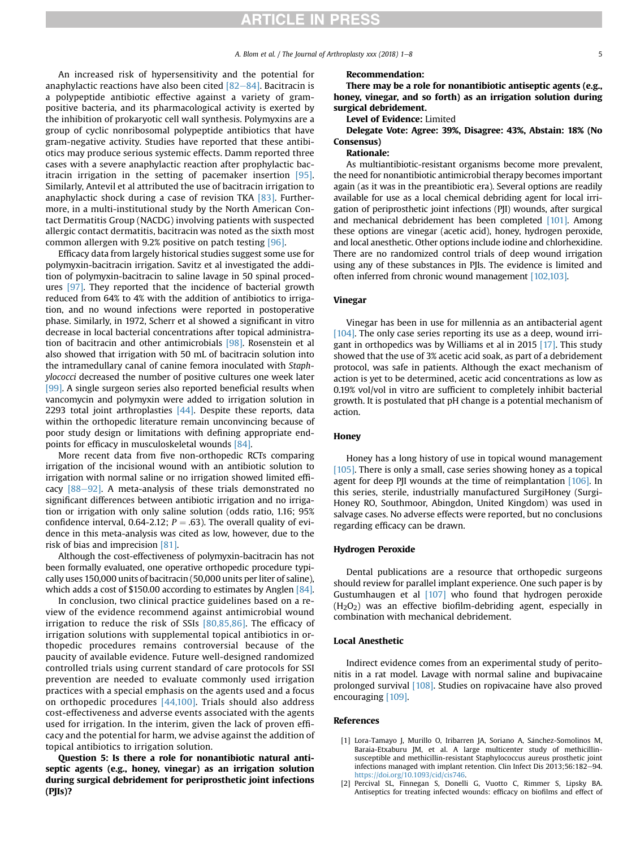<span id="page-4-0"></span>An increased risk of hypersensitivity and the potential for anaphylactic reactions have also been cited  $[82-84]$  $[82-84]$ . Bacitracin is a polypeptide antibiotic effective against a variety of grampositive bacteria, and its pharmacological activity is exerted by the inhibition of prokaryotic cell wall synthesis. Polymyxins are a group of cyclic nonribosomal polypeptide antibiotics that have gram-negative activity. Studies have reported that these antibiotics may produce serious systemic effects. Damm reported three cases with a severe anaphylactic reaction after prophylactic bacitracin irrigation in the setting of pacemaker insertion [\[95\].](#page-6-0) Similarly, Antevil et al attributed the use of bacitracin irrigation to anaphylactic shock during a case of revision TKA [\[83\].](#page-6-0) Furthermore, in a multi-institutional study by the North American Contact Dermatitis Group (NACDG) involving patients with suspected allergic contact dermatitis, bacitracin was noted as the sixth most common allergen with 9.2% positive on patch testing [\[96\].](#page-6-0)

Efficacy data from largely historical studies suggest some use for polymyxin-bacitracin irrigation. Savitz et al investigated the addition of polymyxin-bacitracin to saline lavage in 50 spinal procedures [\[97\].](#page-6-0) They reported that the incidence of bacterial growth reduced from 64% to 4% with the addition of antibiotics to irrigation, and no wound infections were reported in postoperative phase. Similarly, in 1972, Scherr et al showed a significant in vitro decrease in local bacterial concentrations after topical administration of bacitracin and other antimicrobials [\[98\]](#page-6-0). Rosenstein et al also showed that irrigation with 50 mL of bacitracin solution into the intramedullary canal of canine femora inoculated with Staphylococci decreased the number of positive cultures one week later [\[99\].](#page-6-0) A single surgeon series also reported beneficial results when vancomycin and polymyxin were added to irrigation solution in 2293 total joint arthroplasties  $[44]$ . Despite these reports, data within the orthopedic literature remain unconvincing because of poor study design or limitations with defining appropriate endpoints for efficacy in musculoskeletal wounds [\[84\].](#page-6-0)

More recent data from five non-orthopedic RCTs comparing irrigation of the incisional wound with an antibiotic solution to irrigation with normal saline or no irrigation showed limited efficacy  $[88-92]$  $[88-92]$  $[88-92]$ . A meta-analysis of these trials demonstrated no significant differences between antibiotic irrigation and no irrigation or irrigation with only saline solution (odds ratio, 1.16; 95% confidence interval, 0.64-2.12;  $P = .63$ ). The overall quality of evidence in this meta-analysis was cited as low, however, due to the risk of bias and imprecision [\[81\]](#page-6-0).

Although the cost-effectiveness of polymyxin-bacitracin has not been formally evaluated, one operative orthopedic procedure typically uses 150,000 units of bacitracin (50,000 units per liter of saline), which adds a cost of \$150.00 according to estimates by Anglen [\[84\].](#page-6-0)

In conclusion, two clinical practice guidelines based on a review of the evidence recommend against antimicrobial wound irrigation to reduce the risk of SSIs [\[80,85,86\]](#page-6-0). The efficacy of irrigation solutions with supplemental topical antibiotics in orthopedic procedures remains controversial because of the paucity of available evidence. Future well-designed randomized controlled trials using current standard of care protocols for SSI prevention are needed to evaluate commonly used irrigation practices with a special emphasis on the agents used and a focus on orthopedic procedures [\[44,100\].](#page-5-0) Trials should also address cost-effectiveness and adverse events associated with the agents used for irrigation. In the interim, given the lack of proven efficacy and the potential for harm, we advise against the addition of topical antibiotics to irrigation solution.

Question 5: Is there a role for nonantibiotic natural antiseptic agents (e.g., honey, vinegar) as an irrigation solution during surgical debridement for periprosthetic joint infections  $(PIIs)?$ 

#### Recommendation:

There may be a role for nonantibiotic antiseptic agents (e.g., honey, vinegar, and so forth) as an irrigation solution during surgical debridement.

Level of Evidence: Limited

Delegate Vote: Agree: 39%, Disagree: 43%, Abstain: 18% (No Consensus)

#### Rationale:

As multiantibiotic-resistant organisms become more prevalent, the need for nonantibiotic antimicrobial therapy becomes important again (as it was in the preantibiotic era). Several options are readily available for use as a local chemical debriding agent for local irrigation of periprosthetic joint infections (PJI) wounds, after surgical and mechanical debridement has been completed [\[101\].](#page-6-0) Among these options are vinegar (acetic acid), honey, hydrogen peroxide, and local anesthetic. Other options include iodine and chlorhexidine. There are no randomized control trials of deep wound irrigation using any of these substances in PJIs. The evidence is limited and often inferred from chronic wound management [\[102,103\]](#page-6-0).

#### Vinegar

Vinegar has been in use for millennia as an antibacterial agent [\[104\]](#page-7-0). The only case series reporting its use as a deep, wound irrigant in orthopedics was by Williams et al in 2015 [\[17\].](#page-5-0) This study showed that the use of 3% acetic acid soak, as part of a debridement protocol, was safe in patients. Although the exact mechanism of action is yet to be determined, acetic acid concentrations as low as 0.19% vol/vol in vitro are sufficient to completely inhibit bacterial growth. It is postulated that pH change is a potential mechanism of action.

### **Honey**

Honey has a long history of use in topical wound management [\[105\]](#page-7-0). There is only a small, case series showing honey as a topical agent for deep PJI wounds at the time of reimplantation [\[106\]](#page-7-0). In this series, sterile, industrially manufactured SurgiHoney (Surgi-Honey RO, Southmoor, Abingdon, United Kingdom) was used in salvage cases. No adverse effects were reported, but no conclusions regarding efficacy can be drawn.

#### Hydrogen Peroxide

Dental publications are a resource that orthopedic surgeons should review for parallel implant experience. One such paper is by Gustumhaugen et al [\[107\]](#page-7-0) who found that hydrogen peroxide  $(H<sub>2</sub>O<sub>2</sub>)$  was an effective biofilm-debriding agent, especially in combination with mechanical debridement.

#### Local Anesthetic

Indirect evidence comes from an experimental study of peritonitis in a rat model. Lavage with normal saline and bupivacaine prolonged survival [\[108\].](#page-7-0) Studies on ropivacaine have also proved encouraging [\[109\]](#page-7-0).

#### References

- [1] Lora-Tamayo J, Murillo O, Iribarren JA, Soriano A, Sánchez-Somolinos M, Baraia-Etxaburu JM, et al. A large multicenter study of methicillinsusceptible and methicillin-resistant Staphylococcus aureus prosthetic joint infections managed with implant retention. Clin Infect Dis 2013;56:182-94. <https://doi.org/10.1093/cid/cis746>.
- [2] Percival SL, Finnegan S, Donelli G, Vuotto C, Rimmer S, Lipsky BA. Antiseptics for treating infected wounds: efficacy on biofilms and effect of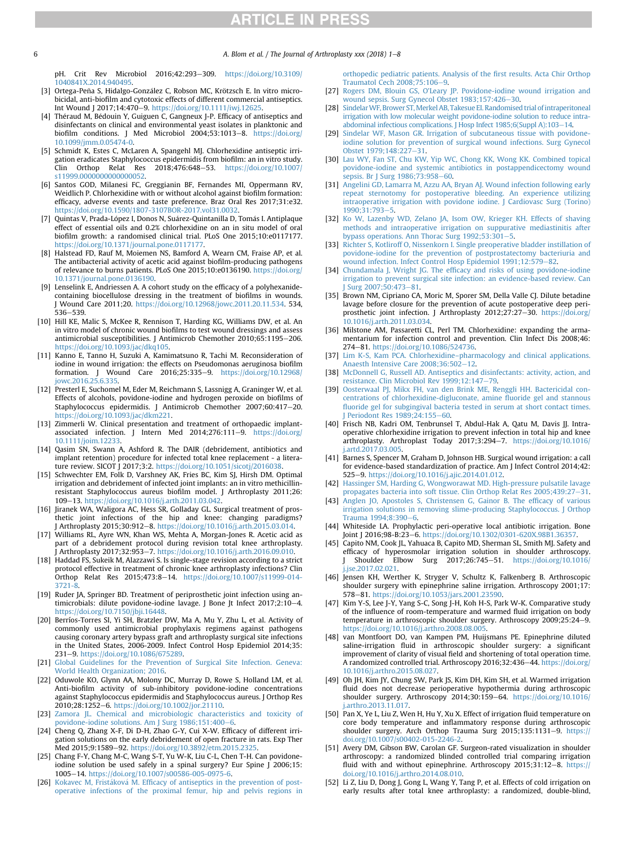#### <span id="page-5-0"></span>6 **A. Blom et al. / The Journal of Arthroplasty xxx (2018) 1–8**

pH. Crit Rev Microbiol 2016;42:293-309. [https://doi.org/10.3109/](https://doi.org/10.3109/1040841X.2014.940495) [1040841X.2014.940495](https://doi.org/10.3109/1040841X.2014.940495).

- [3] Ortega-Peña S, Hidalgo-González C, Robson MC, Krötzsch E. In vitro microbicidal, anti-biofilm and cytotoxic effects of different commercial antiseptics. Int Wound J 2017;14:470-9. <https://doi.org/10.1111/iwj.12625>
- [4] Théraud M, Bédouin Y, Guiguen C, Gangneux J-P. Efficacy of antiseptics and disinfectants on clinical and environmental yeast isolates in planktonic and biofilm conditions. J Med Microbiol 2004;53:1013-8. [https://doi.org/](https://doi.org/10.1099/jmm.0.05474-0) [10.1099/jmm.0.05474-0](https://doi.org/10.1099/jmm.0.05474-0).
- [5] Schmidt K, Estes C, McLaren A, Spangehl MJ. Chlorhexidine antiseptic irrigation eradicates Staphylococcus epidermidis from biofilm: an in vitro study. Clin Orthop Relat Res 2018;476:648-53. https://doi.org/10.1007 [s11999.0000000000000052](https://doi.org/10.1007/s11999.0000000000000052).
- [6] Santos GOD, Milanesi FC, Greggianin BF, Fernandes MI, Oppermann RV, Weidlich P. Chlorhexidine with or without alcohol against biofilm formation: efficacy, adverse events and taste preference. Braz Oral Res 2017;31:e32. <https://doi.org/10.1590/1807-3107BOR-2017.vol31.0032>.
- [7] Quintas V, Prada-López I, Donos N, Suárez-Quintanilla D, Tomás I. Antiplaque effect of essential oils and 0.2% chlorhexidine on an in situ model of oral biofilm growth: a randomised clinical trial. PLoS One 2015;10:e0117177. [https://doi.org/10.1371/journal.pone.0117177.](https://doi.org/10.1371/journal.pone.0117177)
- [8] Halstead FD, Rauf M, Moiemen NS, Bamford A, Wearn CM, Fraise AP, et al. The antibacterial activity of acetic acid against biofilm-producing pathogens of relevance to burns patients. PLoS One 2015;10:e0136190. [https://doi.org/](https://doi.org/10.1371/journal.pone.0136190) [10.1371/journal.pone.0136190.](https://doi.org/10.1371/journal.pone.0136190)
- [9] Lenselink E, Andriessen A. A cohort study on the efficacy of a polyhexanidecontaining biocellulose dressing in the treatment of biofilms in wounds. J Wound Care 2011;20. <https://doi.org/10.12968/jowc.2011.20.11.534>. 534, 536-539.
- [10] Hill KE, Malic S, McKee R, Rennison T, Harding KG, Williams DW, et al. An in vitro model of chronic wound biofilms to test wound dressings and assess antimicrobial susceptibilities. J Antimicrob Chemother 2010;65:1195-206. <https://doi.org/10.1093/jac/dkq105>.
- [11] Kanno E, Tanno H, Suzuki A, Kamimatsuno R, Tachi M. Reconsideration of iodine in wound irrigation: the effects on Pseudomonas aeruginosa biofilm formation. J Wound Care 2016;25:335-9. https://doi.org/10.12968 [jowc.2016.25.6.335.](https://doi.org/10.12968/jowc.2016.25.6.335)
- [12] Presterl E, Suchomel M, Eder M, Reichmann S, Lassnigg A, Graninger W, et al. Effects of alcohols, povidone-iodine and hydrogen peroxide on biofilms of Staphylococcus epidermidis. J Antimicrob Chemother 2007;60:417-20. [https://doi.org/10.1093/jac/dkm221.](https://doi.org/10.1093/jac/dkm221)
- [13] Zimmerli W. Clinical presentation and treatment of orthopaedic implantassociated infection. J Intern Med 2014;276:111-9. [https://doi.org/](https://doi.org/10.1111/joim.12233) [10.1111/joim.12233](https://doi.org/10.1111/joim.12233).
- [14] Qasim SN, Swann A, Ashford R. The DAIR (debridement, antibiotics and implant retention) procedure for infected total knee replacement - a literature review. SICOT J 2017;3:2. <https://doi.org/10.1051/sicotj/2016038>.
- [15] Schwechter EM, Folk D, Varshney AK, Fries BC, Kim SJ, Hirsh DM. Optimal irrigation and debridement of infected joint implants: an in vitro methicillinresistant Staphylococcus aureus biofilm model. J Arthroplasty 2011;26: 109-13. <https://doi.org/10.1016/j.arth.2011.03.042>.
- [16] Jiranek WA, Waligora AC, Hess SR, Golladay GL. Surgical treatment of prosthetic joint infections of the hip and knee: changing paradigms?<br>J Arthroplasty 2015;30:912–8. <https://doi.org/10.1016/j.arth.2015.03.014>.
- [17] Williams RL, Ayre WN, Khan WS, Mehta A, Morgan-Jones R. Acetic acid as part of a debridement protocol during revision total knee arthroplasty. J Arthroplasty 2017;32:953e7. <https://doi.org/10.1016/j.arth.2016.09.010>.
- [18] Haddad FS, Sukeik M, Alazzawi S. Is single-stage revision according to a strict protocol effective in treatment of chronic knee arthroplasty infections? Clin Orthop Relat Res 2015;473:8-14. [https://doi.org/10.1007/s11999-014-](https://doi.org/10.1007/s11999-014-3721-8) [3721-8.](https://doi.org/10.1007/s11999-014-3721-8)
- [19] Ruder JA, Springer BD. Treatment of periprosthetic joint infection using antimicrobials: dilute povidone-iodine lavage. J Bone Jt Infect  $2017;2:10-4$ . [https://doi.org/10.7150/jbji.16448.](https://doi.org/10.7150/jbji.16448)
- [20] Berríos-Torres SI, Yi SH, Bratzler DW, Ma A, Mu Y, Zhu L, et al. Activity of commonly used antimicrobial prophylaxis regimens against pathogens causing coronary artery bypass graft and arthroplasty surgical site infections in the United States, 2006-2009. Infect Control Hosp Epidemiol 2014;35: 231e9. <https://doi.org/10.1086/675289>.
- [21] [Global Guidelines for the Prevention of Surgical Site Infection. Geneva:](http://refhub.elsevier.com/S0883-5403(18)30846-5/sref21) [World Health Organization; 2016.](http://refhub.elsevier.com/S0883-5403(18)30846-5/sref21)
- [22] Oduwole KO, Glynn AA, Molony DC, Murray D, Rowe S, Holland LM, et al. Anti-biofilm activity of sub-inhibitory povidone-iodine concentrations against Staphylococcus epidermidis and Staphylococcus aureus. J Orthop Res 2010;28:1252-6. [https://doi.org/10.1002/jor.21110.](https://doi.org/10.1002/jor.21110)
- [23] [Zamora JL. Chemical and microbiologic characteristics and toxicity of](http://refhub.elsevier.com/S0883-5403(18)30846-5/sref23) [povidone-iodine solutions. Am J Surg 1986;151:400](http://refhub.elsevier.com/S0883-5403(18)30846-5/sref23)-[6.](http://refhub.elsevier.com/S0883-5403(18)30846-5/sref23)
- [24] Cheng Q, Zhang X-F, Di D-H, Zhao G-Y, Cui X-W. Efficacy of different irrigation solutions on the early debridement of open fracture in rats. Exp Ther Med 2015;9:1589-92. https://doi.org/10.3892/etm.2015.2325
- [25] Chang F-Y, Chang M-C, Wang S-T, Yu W-K, Liu C-L, Chen T-H. Can povidoneiodine solution be used safely in a spinal surgery? Eur Spine J 2006;15: 1005e14. [https://doi.org/10.1007/s00586-005-0975-6.](https://doi.org/10.1007/s00586-005-0975-6)
- [26] [Kokavec M, Frist](http://refhub.elsevier.com/S0883-5403(18)30846-5/sref26)á[kov](http://refhub.elsevier.com/S0883-5403(18)30846-5/sref26)á M. Effi[cacy of antiseptics in the prevention of post](http://refhub.elsevier.com/S0883-5403(18)30846-5/sref26)[operative infections of the proximal femur, hip and pelvis regions in](http://refhub.elsevier.com/S0883-5403(18)30846-5/sref26)

[orthopedic pediatric patients. Analysis of the](http://refhub.elsevier.com/S0883-5403(18)30846-5/sref26) first results. Acta Chir Orthop [Traumatol Cech 2008;75:106](http://refhub.elsevier.com/S0883-5403(18)30846-5/sref26)-[9.](http://refhub.elsevier.com/S0883-5403(18)30846-5/sref26)

- [27] Rogers DM, Blouin GS, O'[Leary JP. Povidone-iodine wound irrigation and](http://refhub.elsevier.com/S0883-5403(18)30846-5/sref27) [wound sepsis. Surg Gynecol Obstet 1983;157:426](http://refhub.elsevier.com/S0883-5403(18)30846-5/sref27)-[30](http://refhub.elsevier.com/S0883-5403(18)30846-5/sref27).
- [28] Sindelar WF, Brower ST, Merkel AB, Takesue EI. Randomised trial of intraperitoneal [irrigation with low molecular weight povidone-iodine solution to reduce intra](http://refhub.elsevier.com/S0883-5403(18)30846-5/sref28)[abdominal infectious complications. J Hosp Infect 1985;6\(Suppl A\):103](http://refhub.elsevier.com/S0883-5403(18)30846-5/sref28)-[14](http://refhub.elsevier.com/S0883-5403(18)30846-5/sref28).
- [29] [Sindelar WF, Mason GR. Irrigation of subcutaneous tissue with povidone](http://refhub.elsevier.com/S0883-5403(18)30846-5/sref29)[iodine solution for prevention of surgical wound infections. Surg Gynecol](http://refhub.elsevier.com/S0883-5403(18)30846-5/sref29) Obstet  $1979.148.227 - 31$  $1979.148.227 - 31$
- [30] [Lau WY, Fan ST, Chu KW, Yip WC, Chong KK, Wong KK. Combined topical](http://refhub.elsevier.com/S0883-5403(18)30846-5/sref30) [povidone-iodine and systemic antibiotics in postappendicectomy wound](http://refhub.elsevier.com/S0883-5403(18)30846-5/sref30) [sepsis. Br J Surg 1986;73:958](http://refhub.elsevier.com/S0883-5403(18)30846-5/sref30)-[60](http://refhub.elsevier.com/S0883-5403(18)30846-5/sref30).
- [31] [Angelini GD, Lamarra M, Azzu AA, Bryan AJ. Wound infection following early](http://refhub.elsevier.com/S0883-5403(18)30846-5/sref31) [repeat sternotomy for postoperative bleeding. An experience utilizing](http://refhub.elsevier.com/S0883-5403(18)30846-5/sref31) [intraoperative irrigation with povidone iodine. J Cardiovasc Surg \(Torino\)](http://refhub.elsevier.com/S0883-5403(18)30846-5/sref31) 1990:31:793-[5.](http://refhub.elsevier.com/S0883-5403(18)30846-5/sref31)
- [32] [Ko W, Lazenby WD, Zelano JA, Isom OW, Krieger KH. Effects of shaving](http://refhub.elsevier.com/S0883-5403(18)30846-5/sref32) [methods and intraoperative irrigation on suppurative mediastinitis after](http://refhub.elsevier.com/S0883-5403(18)30846-5/sref32) [bypass operations. Ann Thorac Surg 1992;53:301](http://refhub.elsevier.com/S0883-5403(18)30846-5/sref32)-[5.](http://refhub.elsevier.com/S0883-5403(18)30846-5/sref32)
- [33] [Richter S, Kotliroff O, Nissenkorn I. Single preoperative bladder instillation of](http://refhub.elsevier.com/S0883-5403(18)30846-5/sref33) [povidone-iodine for the prevention of postprostatectomy bacteriuria and](http://refhub.elsevier.com/S0883-5403(18)30846-5/sref33) [wound infection. Infect Control Hosp Epidemiol 1991;12:579](http://refhub.elsevier.com/S0883-5403(18)30846-5/sref33)-[82.](http://refhub.elsevier.com/S0883-5403(18)30846-5/sref33)
- [34] Chundamala J, Wright JG. The effi[cacy and risks of using povidone-iodine](http://refhub.elsevier.com/S0883-5403(18)30846-5/sref34) [irrigation to prevent surgical site infection: an evidence-based review. Can](http://refhub.elsevier.com/S0883-5403(18)30846-5/sref34) I Surg 2007:50:473-[81.](http://refhub.elsevier.com/S0883-5403(18)30846-5/sref34)
- [35] Brown NM, Cipriano CA, Moric M, Sporer SM, Della Valle CJ. Dilute betadine lavage before closure for the prevention of acute postoperative deep periprosthetic joint infection. J Arthroplasty 2012;27:27-30. [https://doi.org/](https://doi.org/10.1016/j.arth.2011.03.034) [10.1016/j.arth.2011.03.034.](https://doi.org/10.1016/j.arth.2011.03.034)
- [36] Milstone AM, Passaretti CL, Perl TM. Chlorhexidine: expanding the armamentarium for infection control and prevention. Clin Infect Dis 2008;46: 274-81. <https://doi.org/10.1086/524736>
- [37] Lim K-S, Kam PCA. Chlorhexidine–[pharmacology and clinical applications.](http://refhub.elsevier.com/S0883-5403(18)30846-5/sref37) Anaesth Intensive Care  $2008;36:502-12$ .
- [38] [McDonnell G, Russell AD. Antiseptics and disinfectants: activity, action, and](http://refhub.elsevier.com/S0883-5403(18)30846-5/sref38) [resistance. Clin Microbiol Rev 1999;12:147](http://refhub.elsevier.com/S0883-5403(18)30846-5/sref38)-[79](http://refhub.elsevier.com/S0883-5403(18)30846-5/sref38).
- [39] [Oosterwaal PJ, Mikx FH, van den Brink ME, Renggli HH. Bactericidal con](http://refhub.elsevier.com/S0883-5403(18)30846-5/sref39)[centrations of chlorhexidine-digluconate, amine](http://refhub.elsevier.com/S0883-5403(18)30846-5/sref39) fluoride gel and stannous fl[uoride gel for subgingival bacteria tested in serum at short contact times.](http://refhub.elsevier.com/S0883-5403(18)30846-5/sref39) [J Periodont Res 1989;24:155](http://refhub.elsevier.com/S0883-5403(18)30846-5/sref39)-[60](http://refhub.elsevier.com/S0883-5403(18)30846-5/sref39).
- [40] Frisch NB, Kadri OM, Tenbrunsel T, Abdul-Hak A, Qatu M, Davis JJ. Intraoperative chlorhexidine irrigation to prevent infection in total hip and knee arthroplasty. Arthroplast Today 2017;3:294-7. [https://doi.org/10.1016/](https://doi.org/10.1016/j.artd.2017.03.005) [j.artd.2017.03.005.](https://doi.org/10.1016/j.artd.2017.03.005)
- [41] Barnes S, Spencer M, Graham D, Johnson HB. Surgical wound irrigation: a call for evidence-based standardization of practice. Am J Infect Control 2014;42: 525-9. <https://doi.org/10.1016/j.ajic.2014.01.012>.
- [42] [Hassinger SM, Harding G, Wongworawat MD. High-pressure pulsatile lavage](http://refhub.elsevier.com/S0883-5403(18)30846-5/sref42) [propagates bacteria into soft tissue. Clin Orthop Relat Res 2005;439:27](http://refhub.elsevier.com/S0883-5403(18)30846-5/sref42)-[31.](http://refhub.elsevier.com/S0883-5403(18)30846-5/sref42)
- [43] [Anglen JO, Apostoles S, Christensen G, Gainor B. The ef](http://refhub.elsevier.com/S0883-5403(18)30846-5/sref43)ficacy of various [irrigation solutions in removing slime-producing Staphylococcus. J Orthop](http://refhub.elsevier.com/S0883-5403(18)30846-5/sref43) [Trauma 1994;8:390](http://refhub.elsevier.com/S0883-5403(18)30846-5/sref43)-[6](http://refhub.elsevier.com/S0883-5403(18)30846-5/sref43).
- [44] Whiteside LA. Prophylactic peri-operative local antibiotic irrigation. Bone Joint J 2016;98-B:23-6. <https://doi.org/10.1302/0301-620X.98B1.36357>.
- [45] Capito NM, Cook JL, Yahuaca B, Capito MD, Sherman SL, Smith MJ. Safety and efficacy of hyperosmolar irrigation solution in shoulder arthroscopy. Shoulder Elbow Surg 2017;26:745-51. [https://doi.org/10.1016/](https://doi.org/10.1016/j.jse.2017.02.021) [j.jse.2017.02.021.](https://doi.org/10.1016/j.jse.2017.02.021)
- [46] Jensen KH, Werther K, Stryger V, Schultz K, Falkenberg B. Arthroscopic shoulder surgery with epinephrine saline irrigation. Arthroscopy 2001;17: 578–81. [https://doi.org/10.1053/jars.2001.23590.](https://doi.org/10.1053/jars.2001.23590)<br>[47] Kim Y-S, Lee J-Y, Yang S-C, Song J-H, Koh H-S, Park W-K. Comparative study
- of the influence of room-temperature and warmed fluid irrigation on body temperature in arthroscopic shoulder surgery. Arthroscopy 2009;25:24-9. [https://doi.org/10.1016/j.arthro.2008.08.005.](https://doi.org/10.1016/j.arthro.2008.08.005)
- [48] van Montfoort DO, van Kampen PM, Huijsmans PE. Epinephrine diluted saline-irrigation fluid in arthroscopic shoulder surgery: a significant improvement of clarity of visual field and shortening of total operation time. A randomized controlled trial. Arthroscopy 2016;32:436-44. [https://doi.org/](https://doi.org/10.1016/j.arthro.2015.08.027) [10.1016/j.arthro.2015.08.027](https://doi.org/10.1016/j.arthro.2015.08.027).
- [49] Oh JH, Kim JY, Chung SW, Park JS, Kim DH, Kim SH, et al. Warmed irrigation fluid does not decrease perioperative hypothermia during arthroscopic shoulder surgery. Arthroscopy 2014;30:159-64. [https://doi.org/10.1016/](https://doi.org/10.1016/j.arthro.2013.11.017) [j.arthro.2013.11.017](https://doi.org/10.1016/j.arthro.2013.11.017).
- [50] Pan X, Ye L, Liu Z, Wen H, Hu Y, Xu X. Effect of irrigation fluid temperature on core body temperature and inflammatory response during arthroscopic shoulder surgery. Arch Orthop Trauma Surg 2015;135:1131-9. [https://](https://doi.org/10.1007/s00402-015-2246-2) [doi.org/10.1007/s00402-015-2246-2.](https://doi.org/10.1007/s00402-015-2246-2)
- [51] Avery DM, Gibson BW, Carolan GF. Surgeon-rated visualization in shoulder arthroscopy: a randomized blinded controlled trial comparing irrigation fluid with and without epinephrine. Arthroscopy 2015;31:12-8. [https://](https://doi.org/10.1016/j.arthro.2014.08.010) [doi.org/10.1016/j.arthro.2014.08.010](https://doi.org/10.1016/j.arthro.2014.08.010).
- [52] Li Z, Liu D, Dong J, Gong L, Wang Y, Tang P, et al. Effects of cold irrigation on early results after total knee arthroplasty: a randomized, double-blind,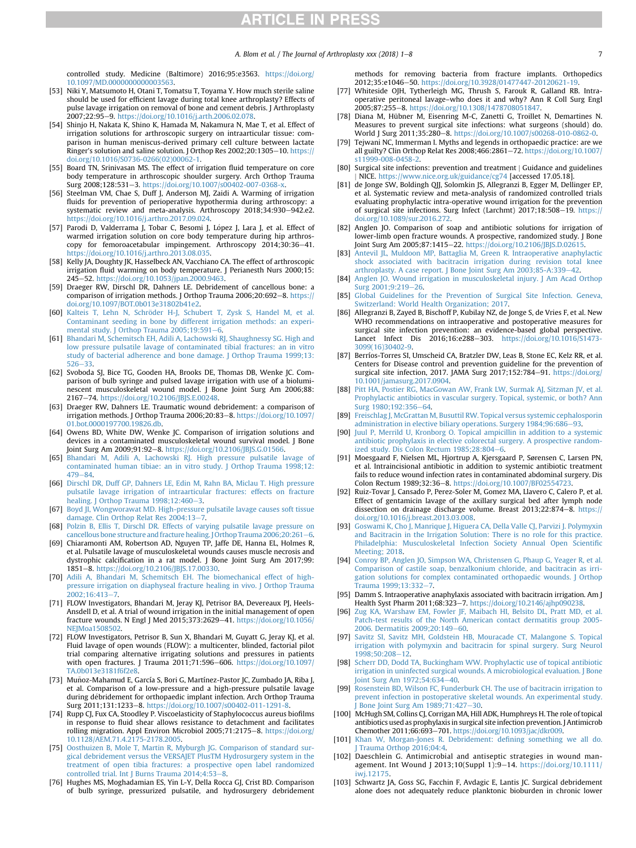<span id="page-6-0"></span>controlled study. Medicine (Baltimore) 2016;95:e3563. [https://doi.org/](https://doi.org/10.1097/MD.0000000000003563) [10.1097/MD.0000000000003563](https://doi.org/10.1097/MD.0000000000003563).

- [53] Niki Y, Matsumoto H, Otani T, Tomatsu T, Toyama Y. How much sterile saline should be used for efficient lavage during total knee arthroplasty? Effects of pulse lavage irrigation on removal of bone and cement debris. J Arthroplasty <sub>2</sub><br>2007;22:95-9. [https://doi.org/10.1016/j.arth.2006.02.078.](https://doi.org/10.1016/j.arth.2006.02.078)
- [54] Shinjo H, Nakata K, Shino K, Hamada M, Nakamura N, Mae T, et al. Effect of irrigation solutions for arthroscopic surgery on intraarticular tissue: comparison in human meniscus-derived primary cell culture between lactate Ringer's solution and saline solution. J Orthop Res  $2002;20:1305-10$ . [https://](https://doi.org/10.1016/S0736-0266(02)00062-1) [doi.org/10.1016/S0736-0266\(02\)00062-1.](https://doi.org/10.1016/S0736-0266(02)00062-1)
- [55] Board TN, Srinivasan MS. The effect of irrigation fluid temperature on core body temperature in arthroscopic shoulder surgery. Arch Orthop Trauma<br>Surg 2008;128:531–3. [https://doi.org/10.1007/s00402-007-0368-x.](https://doi.org/10.1007/s00402-007-0368-x)
- [56] Steelman VM, Chae S, Duff J, Anderson MJ, Zaidi A. Warming of irrigation fluids for prevention of perioperative hypothermia during arthroscopy: a systematic review and meta-analysis. Arthroscopy 2018;34:930-942.e2. [https://doi.org/10.1016/j.arthro.2017.09.024.](https://doi.org/10.1016/j.arthro.2017.09.024)
- [57] Parodi D, Valderrama J, Tobar C, Besomi J, López J, Lara J, et al. Effect of warmed irrigation solution on core body temperature during hip arthroscopy for femoroacetabular impingement. Arthroscopy 2014;30:36-41. [https://doi.org/10.1016/j.arthro.2013.08.035.](https://doi.org/10.1016/j.arthro.2013.08.035)
- [58] Kelly JA, Doughty JK, Hasselbeck AN, Vacchiano CA. The effect of arthroscopic irrigation fluid warming on body temperature. J Perianesth Nurs 2000;15: 245-52. <https://doi.org/10.1053/jpan.2000.9463>.
- [59] Draeger RW, Dirschl DR, Dahners LE. Debridement of cancellous bone: a comparison of irrigation methods. J Orthop Trauma 2006;20:692-8. [https://](https://doi.org/10.1097/BOT.0b013e31802b41e2) [doi.org/10.1097/BOT.0b013e31802b41e2](https://doi.org/10.1097/BOT.0b013e31802b41e2).
- [60] Kalteis T, Lehn N, Schröder H-J, Schubert T, Zysk S, Handel M, et al. [Contaminant seeding in bone by different irrigation methods: an experi](http://refhub.elsevier.com/S0883-5403(18)30846-5/sref60)[mental study. J Orthop Trauma 2005;19:591](http://refhub.elsevier.com/S0883-5403(18)30846-5/sref60)-[6](http://refhub.elsevier.com/S0883-5403(18)30846-5/sref60).
- [61] [Bhandari M, Schemitsch EH, Adili A, Lachowski RJ, Shaughnessy SG. High and](http://refhub.elsevier.com/S0883-5403(18)30846-5/sref61) [low pressure pulsatile lavage of contaminated tibial fractures: an in vitro](http://refhub.elsevier.com/S0883-5403(18)30846-5/sref61) [study of bacterial adherence and bone damage. J Orthop Trauma 1999;13:](http://refhub.elsevier.com/S0883-5403(18)30846-5/sref61)  $526 - 33.$  $526 - 33.$  $526 - 33.$  $526 - 33.$
- [62] Svoboda SJ, Bice TG, Gooden HA, Brooks DE, Thomas DB, Wenke JC. Comparison of bulb syringe and pulsed lavage irrigation with use of a bioluminescent musculoskeletal wound model. J Bone Joint Surg Am 2006;88: 2167e74. <https://doi.org/10.2106/JBJS.E.00248>.
- [63] Draeger RW, Dahners LE. Traumatic wound debridement: a comparison of irrigation methods. J Orthop Trauma 2006;20:83-8. [https://doi.org/10.1097/](https://doi.org/10.1097/01.bot.0000197700.19826.db) [01.bot.0000197700.19826.db.](https://doi.org/10.1097/01.bot.0000197700.19826.db)
- [64] Owens BD, White DW, Wenke JC. Comparison of irrigation solutions and devices in a contaminated musculoskeletal wound survival model. J Bone Joint Surg Am 2009;91:92-8. <https://doi.org/10.2106/JBJS.G.01566>.
- [65] [Bhandari M, Adili A, Lachowski RJ. High pressure pulsatile lavage of](http://refhub.elsevier.com/S0883-5403(18)30846-5/sref65) [contaminated human tibiae: an in vitro study. J Orthop Trauma 1998;12:](http://refhub.elsevier.com/S0883-5403(18)30846-5/sref65)  $479 - 84.$  $479 - 84.$  $479 - 84.$  $479 - 84.$
- [66] [Dirschl DR, Duff GP, Dahners LE, Edin M, Rahn BA, Miclau T. High pressure](http://refhub.elsevier.com/S0883-5403(18)30846-5/sref66) [pulsatile lavage irrigation of intraarticular fractures: effects on fracture](http://refhub.elsevier.com/S0883-5403(18)30846-5/sref66) healing. J Orthop Trauma  $1998;12:460-3$  $1998;12:460-3$ .
- [67] [Boyd JI, Wongworawat MD. High-pressure pulsatile lavage causes soft tissue](http://refhub.elsevier.com/S0883-5403(18)30846-5/sref67) damage. Clin Orthop Relat Res  $2004:13-7$ .
- [68] [Polzin B, Ellis T, Dirschl DR. Effects of varying pulsatile lavage pressure on](http://refhub.elsevier.com/S0883-5403(18)30846-5/sref68) cancellous bone structure and fracture healing. J Orthop Trauma  $2006;20:261-6$  $2006;20:261-6$  $2006;20:261-6$ .
- [69] Chiaramonti AM, Robertson AD, Nguyen TP, Jaffe DE, Hanna EL, Holmes R, et al. Pulsatile lavage of musculoskeletal wounds causes muscle necrosis and dystrophic calcification in a rat model. J Bone Joint Surg Am 2017;99: 1851e8. [https://doi.org/10.2106/JBJS.17.00330.](https://doi.org/10.2106/JBJS.17.00330)
- [70] [Adili A, Bhandari M, Schemitsch EH. The biomechanical effect of high](http://refhub.elsevier.com/S0883-5403(18)30846-5/sref70)[pressure irrigation on diaphyseal fracture healing in vivo. J Orthop Trauma](http://refhub.elsevier.com/S0883-5403(18)30846-5/sref70) 2002:16:413-[7.](http://refhub.elsevier.com/S0883-5403(18)30846-5/sref70)
- [71] FLOW Investigators, Bhandari M, Jeray KJ, Petrisor BA, Devereaux PJ, Heels-Ansdell D, et al. A trial of wound irrigation in the initial management of open fracture wounds. N Engl J Med 2015;373:2629-41. [https://doi.org/10.1056/](https://doi.org/10.1056/NEJMoa1508502) [NEJMoa1508502.](https://doi.org/10.1056/NEJMoa1508502)
- [72] FLOW Investigators, Petrisor B, Sun X, Bhandari M, Guyatt G, Jeray KJ, et al. Fluid lavage of open wounds (FLOW): a multicenter, blinded, factorial pilot trial comparing alternative irrigating solutions and pressures in patients with open fractures. J Trauma 2011;71:596-606. [https://doi.org/10.1097/](https://doi.org/10.1097/TA.0b013e3181f6f2e8) [TA.0b013e3181f6f2e8.](https://doi.org/10.1097/TA.0b013e3181f6f2e8)
- [73] Munoz-Mahamud E, García S, Bori G, Martínez-Pastor JC, Zumbado JA, Riba J, ~ et al. Comparison of a low-pressure and a high-pressure pulsatile lavage during débridement for orthopaedic implant infection. Arch Orthop Trauma Surg 2011;131:1233-8. https://doi.org/10.1007/s00402-011-1291-8
- [74] Rupp CJ, Fux CA, Stoodley P. Viscoelasticity of Staphylococcus aureus biofilms in response to fluid shear allows resistance to detachment and facilitates rolling migration. Appl Environ Microbiol 2005;71:2175-8. [https://doi.org/](https://doi.org/10.1128/AEM.71.4.2175-2178.2005) [10.1128/AEM.71.4.2175-2178.2005.](https://doi.org/10.1128/AEM.71.4.2175-2178.2005)
- [75] [Oosthuizen B, Mole T, Martin R, Myburgh JG. Comparison of standard sur](http://refhub.elsevier.com/S0883-5403(18)30846-5/sref75)[gical debridement versus the VERSAJET PlusTM Hydrosurgery system in the](http://refhub.elsevier.com/S0883-5403(18)30846-5/sref75) [treatment of open tibia fractures: a prospective open label randomized](http://refhub.elsevier.com/S0883-5403(18)30846-5/sref75) [controlled trial. Int J Burns Trauma 2014;4:53](http://refhub.elsevier.com/S0883-5403(18)30846-5/sref75)-[8](http://refhub.elsevier.com/S0883-5403(18)30846-5/sref75).
- [76] Hughes MS, Moghadamian ES, Yin L-Y, Della Rocca GJ, Crist BD. Comparison of bulb syringe, pressurized pulsatile, and hydrosurgery debridement

methods for removing bacteria from fracture implants. Orthopedics 2012;35:e1046-50. [https://doi.org/10.3928/01477447-20120621-19.](https://doi.org/10.3928/01477447-20120621-19)

- [77] Whiteside OJH, Tytherleigh MG, Thrush S, Farouk R, Galland RB. Intraoperative peritoneal lavage–who does it and why? Ann R Coll Surg Engl 2005;87:255e8. <https://doi.org/10.1308/1478708051847>.
- [78] Diana M, Hübner M, Eisenring M-C, Zanetti G, Troillet N, Demartines N. Measures to prevent surgical site infections: what surgeons (should) do. World J Surg 2011;35:280-8. [https://doi.org/10.1007/s00268-010-0862-0.](https://doi.org/10.1007/s00268-010-0862-0)
- [79] Tejwani NC, Immerman I. Myths and legends in orthopaedic practice: are we all guilty? Clin Orthop Relat Res 2008;466:2861-72. [https://doi.org/10.1007/](https://doi.org/10.1007/s11999-008-0458-2) [s11999-008-0458-2.](https://doi.org/10.1007/s11999-008-0458-2)
- [80] Surgical site infections: prevention and treatment j Guidance and guidelines j NICE. <https://www.nice.org.uk/guidance/cg74> [accessed 17.05.18]. [81] de Jonge SW, Boldingh QJJ, Solomkin JS, Allegranzi B, Egger M, Dellinger EP,
- et al. Systematic review and meta-analysis of randomized controlled trials evaluating prophylactic intra-operative wound irrigation for the prevention of surgical site infections. Surg Infect (Larchmt) 2017;18:508-19. [https://](https://doi.org/10.1089/sur.2016.272) [doi.org/10.1089/sur.2016.272](https://doi.org/10.1089/sur.2016.272).
- [82] Anglen JO. Comparison of soap and antibiotic solutions for irrigation of lower-limb open fracture wounds. A prospective, randomized study. J Bone Joint Surg Am 2005;87:1415-22. [https://doi.org/10.2106/JBJS.D.02615.](https://doi.org/10.2106/JBJS.D.02615)
- [83] [Antevil JL, Muldoon MP, Battaglia M, Green R. Intraoperative anaphylactic](http://refhub.elsevier.com/S0883-5403(18)30846-5/sref83) [shock associated with bacitracin irrigation during revision total knee](http://refhub.elsevier.com/S0883-5403(18)30846-5/sref83) [arthroplasty. A case report. J Bone Joint Surg Am 2003;85-A:339](http://refhub.elsevier.com/S0883-5403(18)30846-5/sref83)-[42](http://refhub.elsevier.com/S0883-5403(18)30846-5/sref83).
- [84] [Anglen JO. Wound irrigation in musculoskeletal injury. J Am Acad Orthop](http://refhub.elsevier.com/S0883-5403(18)30846-5/sref84) [Surg 2001;9:219](http://refhub.elsevier.com/S0883-5403(18)30846-5/sref84)-[26.](http://refhub.elsevier.com/S0883-5403(18)30846-5/sref84)
- [85] [Global Guidelines for the Prevention of Surgical Site Infection. Geneva,](http://refhub.elsevier.com/S0883-5403(18)30846-5/sref85) [Switzerland: World Health Organization; 2017](http://refhub.elsevier.com/S0883-5403(18)30846-5/sref85).
- [86] Allegranzi B, Zayed B, Bischoff P, Kubilay NZ, de Jonge S, de Vries F, et al. New WHO recommendations on intraoperative and postoperative measures for surgical site infection prevention: an evidence-based global perspective. Lancet Infect Dis 2016;16:e288-303. [https://doi.org/10.1016/S1473-](https://doi.org/10.1016/S1473-3099(16)30402-9) [3099\(16\)30402-9](https://doi.org/10.1016/S1473-3099(16)30402-9).
- [87] Berríos-Torres SI, Umscheid CA, Bratzler DW, Leas B, Stone EC, Kelz RR, et al. Centers for Disease control and prevention guideline for the prevention of surgical site infection, 2017. JAMA Surg 2017;152:784-91. [https://doi.org/](https://doi.org/10.1001/jamasurg.2017.0904) [10.1001/jamasurg.2017.0904](https://doi.org/10.1001/jamasurg.2017.0904).
- [88] [Pitt HA, Postier RG, MacGowan AW, Frank LW, Surmak AJ, Sitzman JV, et al.](http://refhub.elsevier.com/S0883-5403(18)30846-5/sref88) [Prophylactic antibiotics in vascular surgery. Topical, systemic, or both? Ann](http://refhub.elsevier.com/S0883-5403(18)30846-5/sref88) [Surg 1980;192:356](http://refhub.elsevier.com/S0883-5403(18)30846-5/sref88)-[64](http://refhub.elsevier.com/S0883-5403(18)30846-5/sref88).
- [89] [Freischlag J, McGrattan M, Busuttil RW. Topical versus systemic cephalosporin](http://refhub.elsevier.com/S0883-5403(18)30846-5/sref89) [administration in elective biliary operations. Surgery 1984;96:686](http://refhub.elsevier.com/S0883-5403(18)30846-5/sref89)-[93.](http://refhub.elsevier.com/S0883-5403(18)30846-5/sref89)
- [90] [Juul P, Merrild U, Kronborg O. Topical ampicillin in addition to a systemic](http://refhub.elsevier.com/S0883-5403(18)30846-5/sref90) [antibiotic prophylaxis in elective colorectal surgery. A prospective random](http://refhub.elsevier.com/S0883-5403(18)30846-5/sref90)[ized study. Dis Colon Rectum 1985;28:804](http://refhub.elsevier.com/S0883-5403(18)30846-5/sref90)-[6.](http://refhub.elsevier.com/S0883-5403(18)30846-5/sref90)
- [91] Moesgaard F, Nielsen ML, Hjortrup A, Kjersgaard P, Sørensen C, Larsen PN, et al. Intraincisional antibiotic in addition to systemic antibiotic treatment fails to reduce wound infection rates in contaminated abdominal surgery. Dis Colon Rectum 1989;32:36-8. [https://doi.org/10.1007/BF02554723.](https://doi.org/10.1007/BF02554723)
- [92] Ruiz-Tovar J, Cansado P, Perez-Soler M, Gomez MA, Llavero C, Calero P, et al. Effect of gentamicin lavage of the axillary surgical bed after lymph node dissection on drainage discharge volume. Breast 2013;22:874-8. [https://](https://doi.org/10.1016/j.breast.2013.03.008) [doi.org/10.1016/j.breast.2013.03.008](https://doi.org/10.1016/j.breast.2013.03.008).
- [93] [Goswami K, Cho J, Manrique J, Higuera CA, Della Valle CJ, Parvizi J. Polymyxin](http://refhub.elsevier.com/S0883-5403(18)30846-5/sref93) [and Bacitracin in the Irrigation Solution: There is no role for this practice.](http://refhub.elsevier.com/S0883-5403(18)30846-5/sref93) [Philadelphia: Musculoskeletal Infection Society Annual Open Scienti](http://refhub.elsevier.com/S0883-5403(18)30846-5/sref93)fic Meeting: 2018.
- [94] [Conroy BP, Anglen JO, Simpson WA, Christensen G, Phaup G, Yeager R, et al.](http://refhub.elsevier.com/S0883-5403(18)30846-5/sref94) [Comparison of castile soap, benzalkonium chloride, and bacitracin as irri](http://refhub.elsevier.com/S0883-5403(18)30846-5/sref94)[gation solutions for complex contaminated orthopaedic wounds. J Orthop](http://refhub.elsevier.com/S0883-5403(18)30846-5/sref94) Trauma 1999:13:332-[7](http://refhub.elsevier.com/S0883-5403(18)30846-5/sref94).
- [95] Damm S. Intraoperative anaphylaxis associated with bacitracin irrigation. Am J<br>Health Syst Pharm 2011;68:323–7. [https://doi.org/10.2146/ajhp090238.](https://doi.org/10.2146/ajhp090238)
- [96] [Zug KA, Warshaw EM, Fowler JF, Maibach HI, Belsito DL, Pratt MD, et al.](http://refhub.elsevier.com/S0883-5403(18)30846-5/sref96) [Patch-test results of the North American contact dermatitis group 2005-](http://refhub.elsevier.com/S0883-5403(18)30846-5/sref96) [2006. Dermatitis 2009;20:149](http://refhub.elsevier.com/S0883-5403(18)30846-5/sref96)-[60.](http://refhub.elsevier.com/S0883-5403(18)30846-5/sref96)
- [97] [Savitz SI, Savitz MH, Goldstein HB, Mouracade CT, Malangone S. Topical](http://refhub.elsevier.com/S0883-5403(18)30846-5/sref97) [irrigation with polymyxin and bacitracin for spinal surgery. Surg Neurol](http://refhub.elsevier.com/S0883-5403(18)30846-5/sref97)  $1998:50:208 - 12$
- [98] [Scherr DD, Dodd TA, Buckingham WW. Prophylactic use of topical antibiotic](http://refhub.elsevier.com/S0883-5403(18)30846-5/sref98) [irrigation in uninfected surgical wounds. A microbiological evaluation. J Bone](http://refhub.elsevier.com/S0883-5403(18)30846-5/sref98) [Joint Surg Am 1972;54:634](http://refhub.elsevier.com/S0883-5403(18)30846-5/sref98)-[40](http://refhub.elsevier.com/S0883-5403(18)30846-5/sref98).
- [99] [Rosenstein BD, Wilson FC, Funderburk CH. The use of bacitracin irrigation to](http://refhub.elsevier.com/S0883-5403(18)30846-5/sref99) [prevent infection in postoperative skeletal wounds. An experimental study.](http://refhub.elsevier.com/S0883-5403(18)30846-5/sref99) Bone Joint Surg Am 1989;71:427-[30.](http://refhub.elsevier.com/S0883-5403(18)30846-5/sref99)
- [100] McHugh SM, Collins CJ, Corrigan MA, Hill ADK, Humphreys H. The role of topical antibiotics used as prophylaxis in surgical site infection prevention. J Antimicrob Chemother 2011;66:693-701. <https://doi.org/10.1093/jac/dkr009>.
- [101] [Khan W, Morgan-Jones R. Debridement: de](http://refhub.elsevier.com/S0883-5403(18)30846-5/sref101)fining something we all do. Trauma Orthop 2016;04:4.
- [102] Daeschlein G. Antimicrobial and antiseptic strategies in wound management. Int Wound J 2013;10(Suppl 1):9-14. [https://doi.org/10.1111/](https://doi.org/10.1111/iwj.12175) [iwj.12175](https://doi.org/10.1111/iwj.12175).
- [103] Schwartz JA, Goss SG, Facchin F, Avdagic E, Lantis JC. Surgical debridement alone does not adequately reduce planktonic bioburden in chronic lower